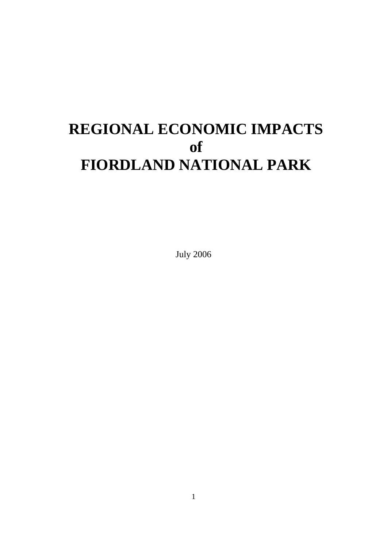# **REGIONAL ECONOMIC IMPACTS of FIORDLAND NATIONAL PARK**

July 2006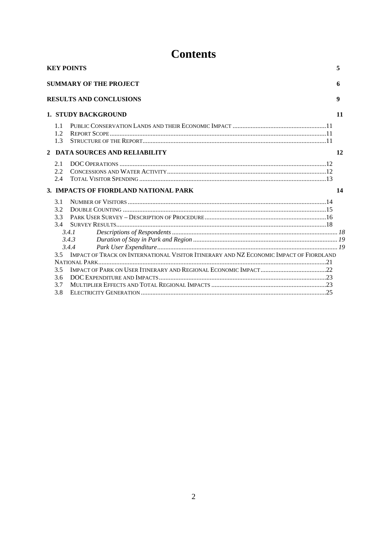## **Contents**

| <b>KEY POINTS</b><br>5          |                                                                                                                   |    |  |  |  |
|---------------------------------|-------------------------------------------------------------------------------------------------------------------|----|--|--|--|
|                                 | <b>SUMMARY OF THE PROJECT</b>                                                                                     | 6  |  |  |  |
|                                 | <b>RESULTS AND CONCLUSIONS</b>                                                                                    | 9  |  |  |  |
| <b>1. STUDY BACKGROUND</b>      |                                                                                                                   |    |  |  |  |
| 1.1<br>1.2<br>1.3               |                                                                                                                   |    |  |  |  |
|                                 | 2 DATA SOURCES AND RELIABILITY                                                                                    | 12 |  |  |  |
| 2.1<br>$2.2^{\circ}$<br>2.4     |                                                                                                                   |    |  |  |  |
|                                 | 3. IMPACTS OF FIORDLAND NATIONAL PARK                                                                             | 14 |  |  |  |
| 3.1<br>3.2<br>3.3<br>3.4<br>3.5 | 3.4.1<br>3.4.3<br>3.4.4<br>IMPACT OF TRACK ON INTERNATIONAL VISITOR ITINERARY AND NZ ECONOMIC IMPACT OF FIORDLAND |    |  |  |  |
|                                 |                                                                                                                   |    |  |  |  |
| 3.5                             |                                                                                                                   |    |  |  |  |
| 3.6<br>3.7                      |                                                                                                                   |    |  |  |  |
| 3.8                             |                                                                                                                   |    |  |  |  |
|                                 |                                                                                                                   |    |  |  |  |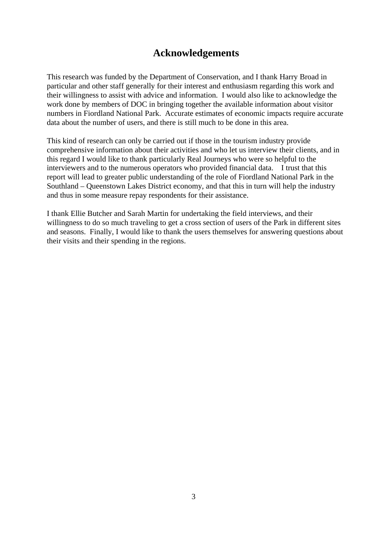## **Acknowledgements**

This research was funded by the Department of Conservation, and I thank Harry Broad in particular and other staff generally for their interest and enthusiasm regarding this work and their willingness to assist with advice and information. I would also like to acknowledge the work done by members of DOC in bringing together the available information about visitor numbers in Fiordland National Park. Accurate estimates of economic impacts require accurate data about the number of users, and there is still much to be done in this area.

This kind of research can only be carried out if those in the tourism industry provide comprehensive information about their activities and who let us interview their clients, and in this regard I would like to thank particularly Real Journeys who were so helpful to the interviewers and to the numerous operators who provided financial data. I trust that this report will lead to greater public understanding of the role of Fiordland National Park in the Southland – Queenstown Lakes District economy, and that this in turn will help the industry and thus in some measure repay respondents for their assistance.

I thank Ellie Butcher and Sarah Martin for undertaking the field interviews, and their willingness to do so much traveling to get a cross section of users of the Park in different sites and seasons. Finally, I would like to thank the users themselves for answering questions about their visits and their spending in the regions.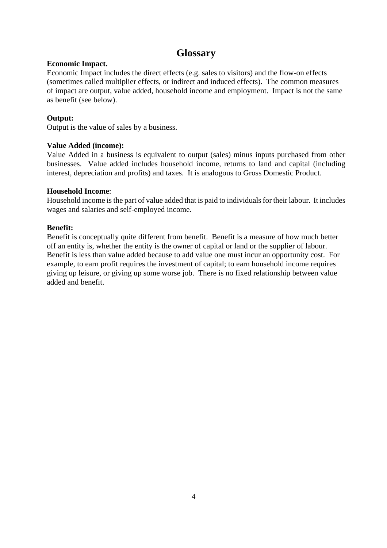## **Glossary**

#### **Economic Impact.**

Economic Impact includes the direct effects (e.g. sales to visitors) and the flow-on effects (sometimes called multiplier effects, or indirect and induced effects). The common measures of impact are output, value added, household income and employment. Impact is not the same as benefit (see below).

## **Output:**

Output is the value of sales by a business.

### **Value Added (income):**

Value Added in a business is equivalent to output (sales) minus inputs purchased from other businesses. Value added includes household income, returns to land and capital (including interest, depreciation and profits) and taxes. It is analogous to Gross Domestic Product.

### **Household Income**:

Household income is the part of value added that is paid to individuals for their labour. It includes wages and salaries and self-employed income.

### **Benefit:**

Benefit is conceptually quite different from benefit. Benefit is a measure of how much better off an entity is, whether the entity is the owner of capital or land or the supplier of labour. Benefit is less than value added because to add value one must incur an opportunity cost. For example, to earn profit requires the investment of capital; to earn household income requires giving up leisure, or giving up some worse job. There is no fixed relationship between value added and benefit.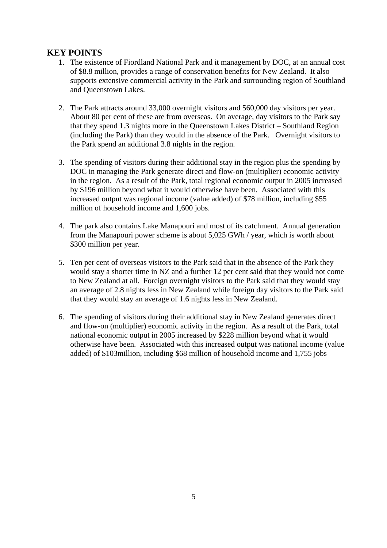## **KEY POINTS**

- 1. The existence of Fiordland National Park and it management by DOC, at an annual cost of \$8.8 million, provides a range of conservation benefits for New Zealand. It also supports extensive commercial activity in the Park and surrounding region of Southland and Queenstown Lakes.
- 2. The Park attracts around 33,000 overnight visitors and 560,000 day visitors per year. About 80 per cent of these are from overseas. On average, day visitors to the Park say that they spend 1.3 nights more in the Queenstown Lakes District – Southland Region (including the Park) than they would in the absence of the Park. Overnight visitors to the Park spend an additional 3.8 nights in the region.
- 3. The spending of visitors during their additional stay in the region plus the spending by DOC in managing the Park generate direct and flow-on (multiplier) economic activity in the region. As a result of the Park, total regional economic output in 2005 increased by \$196 million beyond what it would otherwise have been. Associated with this increased output was regional income (value added) of \$78 million, including \$55 million of household income and 1,600 jobs.
- 4. The park also contains Lake Manapouri and most of its catchment. Annual generation from the Manapouri power scheme is about 5,025 GWh / year, which is worth about \$300 million per year.
- 5. Ten per cent of overseas visitors to the Park said that in the absence of the Park they would stay a shorter time in NZ and a further 12 per cent said that they would not come to New Zealand at all. Foreign overnight visitors to the Park said that they would stay an average of 2.8 nights less in New Zealand while foreign day visitors to the Park said that they would stay an average of 1.6 nights less in New Zealand.
- 6. The spending of visitors during their additional stay in New Zealand generates direct and flow-on (multiplier) economic activity in the region. As a result of the Park, total national economic output in 2005 increased by \$228 million beyond what it would otherwise have been. Associated with this increased output was national income (value added) of \$103million, including \$68 million of household income and 1,755 jobs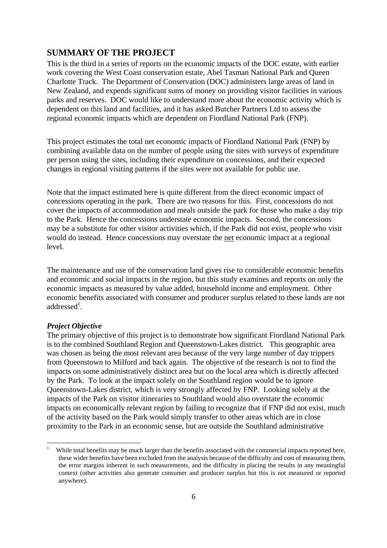## **SUMMARY OF THE PROJECT**

This is the third in a series of reports on the economic impacts of the DOC estate, with earlier work covering the West Coast conservation estate, Abel Tasman National Park and Queen Charlotte Track. The Department of Conservation (DOC) administers large areas of land in New Zealand, and expends significant sums of money on providing visitor facilities in various parks and reserves. DOC would like to understand more about the economic activity which is dependent on this land and facilities, and it has asked Butcher Partners Ltd to assess the regional economic impacts which are dependent on Fiordland National Park (FNP).

This project estimates the total net economic impacts of Fiordland National Park (FNP) by combining available data on the number of people using the sites with surveys of expenditure per person using the sites, including their expenditure on concessions, and their expected changes in regional visiting patterns if the sites were not available for public use.

Note that the impact estimated here is quite different from the direct economic impact of concessions operating in the park. There are two reasons for this. First, concessions do not cover the impacts of accommodation and meals outside the park for those who make a day trip to the Park. Hence the concessions understate economic impacts. Second, the concessions may be a substitute for other visitor activities which, if the Park did not exist, people who visit would do instead. Hence concessions may overstate the net economic impact at a regional level.

The maintenance and use of the conservation land gives rise to considerable economic benefits and economic and social impacts in the region, but this study examines and reports on only the economic impacts as measured by value added, household income and employment. Other economic benefits associated with consumer and producer surplus related to these lands are not  $addressed<sup>1</sup>$ .

#### *Project Objective*

 $\overline{a}$ 

The primary objective of this project is to demonstrate how significant Fiordland National Park is to the combined Southland Region and Queenstown-Lakes district. This geographic area was chosen as being the most relevant area because of the very large number of day trippers from Queenstown to Milford and back again. The objective of the research is not to find the impacts on some administratively distinct area but on the local area which is directly affected by the Park. To look at the impact solely on the Southland region would be to ignore Queenstown-Lakes district, which is very strongly affected by FNP. Looking solely at the impacts of the Park on visitor itineraries to Southland would also overstate the economic impacts on economically relevant region by failing to recognize that if FNP did not exist, much of the activity based on the Park would simply transfer to other areas which are in close proximity to the Park in an economic sense, but are outside the Southland administrative

<sup>1</sup> While total benefits may be much larger than the benefits associated with the commercial impacts reported here, these wider benefits have been excluded from the analysis because of the difficulty and cost of measuring them, the error margins inherent in such measurements, and the difficulty in placing the results in any meaningful context (other activities also generate consumer and producer surplus but this is not measured or reported anywhere).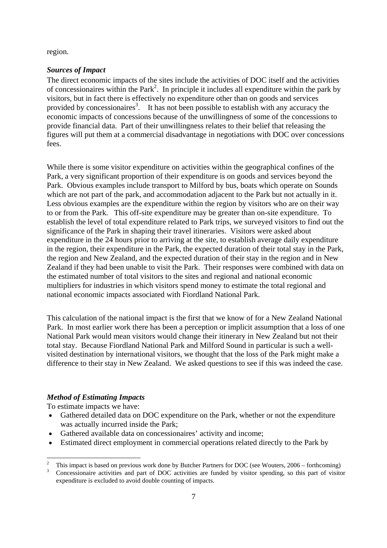region.

#### *Sources of Impact*

The direct economic impacts of the sites include the activities of DOC itself and the activities of concessionaires within the Park<sup>2</sup>. In principle it includes all expenditure within the park by visitors, but in fact there is effectively no expenditure other than on goods and services provided by concessionaires<sup>3</sup>. It has not been possible to establish with any accuracy the economic impacts of concessions because of the unwillingness of some of the concessions to provide financial data. Part of their unwillingness relates to their belief that releasing the figures will put them at a commercial disadvantage in negotiations with DOC over concessions fees.

While there is some visitor expenditure on activities within the geographical confines of the Park, a very significant proportion of their expenditure is on goods and services beyond the Park. Obvious examples include transport to Milford by bus, boats which operate on Sounds which are not part of the park, and accommodation adjacent to the Park but not actually in it. Less obvious examples are the expenditure within the region by visitors who are on their way to or from the Park. This off-site expenditure may be greater than on-site expenditure. To establish the level of total expenditure related to Park trips, we surveyed visitors to find out the significance of the Park in shaping their travel itineraries. Visitors were asked about expenditure in the 24 hours prior to arriving at the site, to establish average daily expenditure in the region, their expenditure in the Park, the expected duration of their total stay in the Park, the region and New Zealand, and the expected duration of their stay in the region and in New Zealand if they had been unable to visit the Park. Their responses were combined with data on the estimated number of total visitors to the sites and regional and national economic multipliers for industries in which visitors spend money to estimate the total regional and national economic impacts associated with Fiordland National Park.

This calculation of the national impact is the first that we know of for a New Zealand National Park. In most earlier work there has been a perception or implicit assumption that a loss of one National Park would mean visitors would change their itinerary in New Zealand but not their total stay. Because Fiordland National Park and Milford Sound in particular is such a wellvisited destination by international visitors, we thought that the loss of the Park might make a difference to their stay in New Zealand. We asked questions to see if this was indeed the case.

#### *Method of Estimating Impacts*

To estimate impacts we have:

 $\overline{a}$ 

- Gathered detailed data on DOC expenditure on the Park, whether or not the expenditure was actually incurred inside the Park;
- Gathered available data on concessionaires' activity and income;
- Estimated direct employment in commercial operations related directly to the Park by

<sup>2</sup> This impact is based on previous work done by Butcher Partners for DOC (see Wouters, 2006 – forthcoming) 3

Concessionaire activities and part of DOC activities are funded by visitor spending, so this part of visitor expenditure is excluded to avoid double counting of impacts.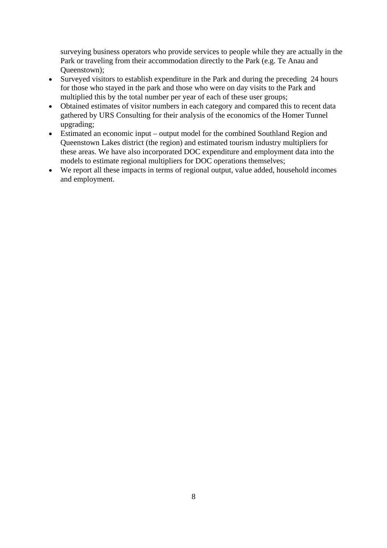surveying business operators who provide services to people while they are actually in the Park or traveling from their accommodation directly to the Park (e.g. Te Anau and Queenstown);

- Surveyed visitors to establish expenditure in the Park and during the preceding 24 hours for those who stayed in the park and those who were on day visits to the Park and multiplied this by the total number per year of each of these user groups;
- Obtained estimates of visitor numbers in each category and compared this to recent data gathered by URS Consulting for their analysis of the economics of the Homer Tunnel upgrading;
- Estimated an economic input output model for the combined Southland Region and Queenstown Lakes district (the region) and estimated tourism industry multipliers for these areas. We have also incorporated DOC expenditure and employment data into the models to estimate regional multipliers for DOC operations themselves;
- We report all these impacts in terms of regional output, value added, household incomes and employment.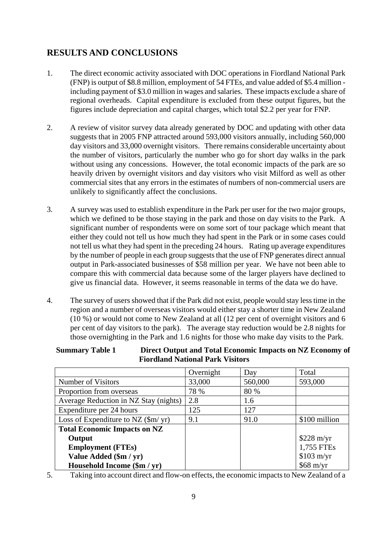## **RESULTS AND CONCLUSIONS**

- 1. The direct economic activity associated with DOC operations in Fiordland National Park (FNP) is output of \$8.8 million, employment of 54 FTEs, and value added of \$5.4 million including payment of \$3.0 million in wages and salaries. These impacts exclude a share of regional overheads. Capital expenditure is excluded from these output figures, but the figures include depreciation and capital charges, which total \$2.2 per year for FNP.
- 2. A review of visitor survey data already generated by DOC and updating with other data suggests that in 2005 FNP attracted around 593,000 visitors annually, including 560,000 day visitors and 33,000 overnight visitors. There remains considerable uncertainty about the number of visitors, particularly the number who go for short day walks in the park without using any concessions. However, the total economic impacts of the park are so heavily driven by overnight visitors and day visitors who visit Milford as well as other commercial sites that any errors in the estimates of numbers of non-commercial users are unlikely to significantly affect the conclusions.
- 3. A survey was used to establish expenditure in the Park per user for the two major groups, which we defined to be those staving in the park and those on day visits to the Park. A significant number of respondents were on some sort of tour package which meant that either they could not tell us how much they had spent in the Park or in some cases could not tell us what they had spent in the preceding 24 hours. Rating up average expenditures by the number of people in each group suggests that the use of FNP generates direct annual output in Park-associated businesses of \$58 million per year. We have not been able to compare this with commercial data because some of the larger players have declined to give us financial data. However, it seems reasonable in terms of the data we do have.
- 4. The survey of users showed that if the Park did not exist, people would stay less time in the region and a number of overseas visitors would either stay a shorter time in New Zealand (10 %) or would not come to New Zealand at all (12 per cent of overnight visitors and 6 per cent of day visitors to the park). The average stay reduction would be 2.8 nights for those overnighting in the Park and 1.6 nights for those who make day visits to the Park.

|                                            | Overnight | Day     | Total               |
|--------------------------------------------|-----------|---------|---------------------|
| Number of Visitors                         | 33,000    | 560,000 | 593,000             |
| Proportion from overseas                   | 78 %      | 80 %    |                     |
| Average Reduction in NZ Stay (nights)      | 2.8       | 1.6     |                     |
| Expenditure per 24 hours                   | 125       | 127     |                     |
| Loss of Expenditure to NZ $(\frac{m}{yr})$ | 9.1       | 91.0    | \$100 million       |
| <b>Total Economic Impacts on NZ</b>        |           |         |                     |
| Output                                     |           |         | $$228 \text{ m/yr}$ |
| <b>Employment (FTEs)</b>                   |           |         | 1,755 FTEs          |
| Value Added (\$m / yr)                     |           |         | $$103 \text{ m/yr}$ |
| Household Income (\$m / yr)                |           |         | $$68 \text{ m/yr}$  |

#### **Summary Table 1 Direct Output and Total Economic Impacts on NZ Economy of Fiordland National Park Visitors**

5. Taking into account direct and flow-on effects, the economic impacts to New Zealand of a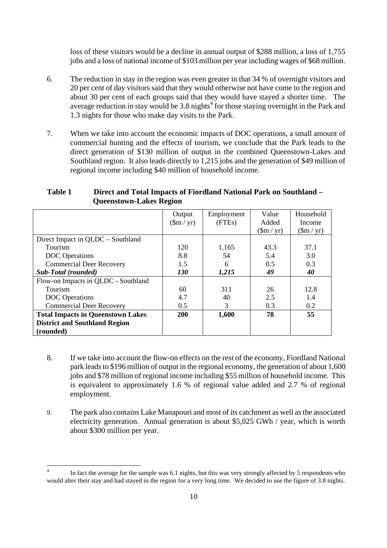loss of these visitors would be a decline in annual output of \$288 million, a loss of 1,755 jobs and a loss of national income of \$103 million per year including wages of \$68 million.

- 6. The reduction in stay in the region was even greater in that 34 % of overnight visitors and 20 per cent of day visitors said that they would otherwise not have come to the region and about 30 per cent of each groups said that they would have stayed a shorter time. The average reduction in stay would be  $3.8$  nights<sup>4</sup> for those staying overnight in the Park and 1.3 nights for those who make day visits to the Park.
- 7. When we take into account the economic impacts of DOC operations, a small amount of commercial hunting and the effects of tourism, we conclude that the Park leads to the direct generation of \$130 million of output in the combined Queenstown-Lakes and Southland region. It also leads directly to 1,215 jobs and the generation of \$49 million of regional income including \$40 million of household income.

|                                          | Output                 | Employment | Value                   | Household               |
|------------------------------------------|------------------------|------------|-------------------------|-------------------------|
|                                          |                        |            |                         |                         |
|                                          | $(\text{m}/\text{yr})$ | (FTEs)     | Added                   | Income                  |
|                                          |                        |            | $(\text{Sm}/\text{yr})$ | $(\text{Sm}/\text{yr})$ |
| Direct Impact in QLDC – Southland        |                        |            |                         |                         |
| Tourism                                  | 120                    | 1,165      | 43.3                    | 37.1                    |
| <b>DOC</b> Operations                    | 8.8                    | 54         | 5.4                     | 3.0                     |
| <b>Commercial Deer Recovery</b>          | 1.5                    | 6          | 0.5                     | 0.3                     |
| <b>Sub-Total</b> (rounded)               | <i>130</i>             | 1,215      | 49                      | 40                      |
| Flow-on Impacts in QLDC - Southland      |                        |            |                         |                         |
| Tourism                                  | 60                     | 311        | 26                      | 12.8                    |
| <b>DOC</b> Operations                    | 4.7                    | 40         | 2.5                     | 1.4                     |
| <b>Commercial Deer Recovery</b>          | 0.5                    | 3          | 0.3                     | 0.2                     |
| <b>Total Impacts in Queenstown Lakes</b> | 200                    | 1,600      | 78                      | 55                      |
| <b>District and Southland Region</b>     |                        |            |                         |                         |
| (rounded)                                |                        |            |                         |                         |

#### **Table 1 Direct and Total Impacts of Fiordland National Park on Southland – Queenstown-Lakes Region**

- 8. If we take into account the flow-on effects on the rest of the economy, Fiordland National park leads to \$196 million of output in the regional economy, the generation of about 1,600 jobs and \$78 million of regional income including \$55 million of household income. This is equivalent to approximately 1.6 % of regional value added and 2.7 % of regional employment.
- 9. The park also contains Lake Manapouri and most of its catchment as well as the associated electricity generation. Annual generation is about \$5,025 GWh / year, which is worth about \$300 million per year.

 $\overline{a}$ 

<sup>4</sup> In fact the average for the sample was 6.1 nights, but this was very strongly affected by 5 respondents who would alter their stay and had stayed in the region for a very long time. We decided to use the figure of 3.8 nights.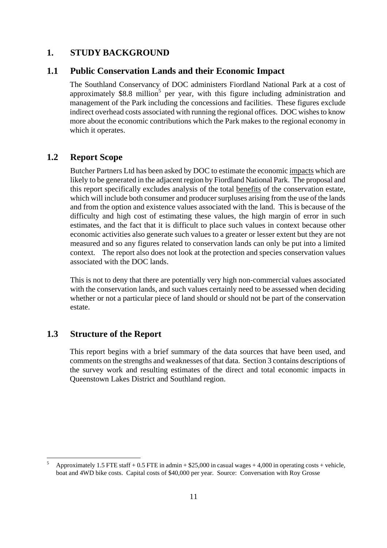## **1. STUDY BACKGROUND**

#### **1.1 Public Conservation Lands and their Economic Impact**

The Southland Conservancy of DOC administers Fiordland National Park at a cost of approximately  $$8.8$  million<sup>5</sup> per year, with this figure including administration and management of the Park including the concessions and facilities. These figures exclude indirect overhead costs associated with running the regional offices. DOC wishes to know more about the economic contributions which the Park makes to the regional economy in which it operates.

## **1.2 Report Scope**

Butcher Partners Ltd has been asked by DOC to estimate the economic impacts which are likely to be generated in the adjacent region by Fiordland National Park. The proposal and this report specifically excludes analysis of the total benefits of the conservation estate, which will include both consumer and producer surpluses arising from the use of the lands and from the option and existence values associated with the land. This is because of the difficulty and high cost of estimating these values, the high margin of error in such estimates, and the fact that it is difficult to place such values in context because other economic activities also generate such values to a greater or lesser extent but they are not measured and so any figures related to conservation lands can only be put into a limited context. The report also does not look at the protection and species conservation values associated with the DOC lands.

This is not to deny that there are potentially very high non-commercial values associated with the conservation lands, and such values certainly need to be assessed when deciding whether or not a particular piece of land should or should not be part of the conservation estate.

## **1.3 Structure of the Report**

 $\overline{a}$ 

This report begins with a brief summary of the data sources that have been used, and comments on the strengths and weaknesses of that data. Section 3 contains descriptions of the survey work and resulting estimates of the direct and total economic impacts in Queenstown Lakes District and Southland region.

<sup>5</sup> Approximately 1.5 FTE staff + 0.5 FTE in admin  $+$  \$25,000 in casual wages  $+$  4,000 in operating costs + vehicle, boat and 4WD bike costs. Capital costs of \$40,000 per year. Source: Conversation with Roy Grosse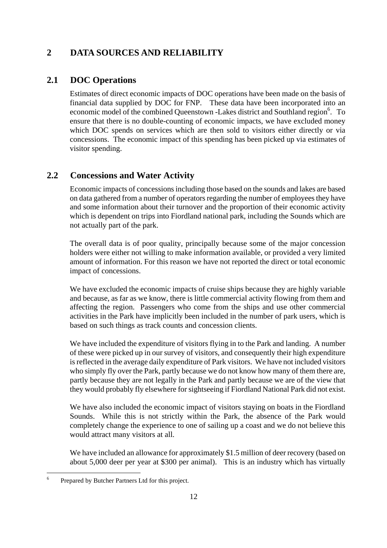## **2 DATA SOURCES AND RELIABILITY**

## **2.1 DOC Operations**

Estimates of direct economic impacts of DOC operations have been made on the basis of financial data supplied by DOC for FNP. These data have been incorporated into an economic model of the combined Queenstown -Lakes district and Southland region<sup>6</sup>. To ensure that there is no double-counting of economic impacts, we have excluded money which DOC spends on services which are then sold to visitors either directly or via concessions. The economic impact of this spending has been picked up via estimates of visitor spending.

## **2.2 Concessions and Water Activity**

Economic impacts of concessions including those based on the sounds and lakes are based on data gathered from a number of operators regarding the number of employees they have and some information about their turnover and the proportion of their economic activity which is dependent on trips into Fiordland national park, including the Sounds which are not actually part of the park.

The overall data is of poor quality, principally because some of the major concession holders were either not willing to make information available, or provided a very limited amount of information. For this reason we have not reported the direct or total economic impact of concessions.

We have excluded the economic impacts of cruise ships because they are highly variable and because, as far as we know, there is little commercial activity flowing from them and affecting the region. Passengers who come from the ships and use other commercial activities in the Park have implicitly been included in the number of park users, which is based on such things as track counts and concession clients.

We have included the expenditure of visitors flying in to the Park and landing. A number of these were picked up in our survey of visitors, and consequently their high expenditure is reflected in the average daily expenditure of Park visitors. We have not included visitors who simply fly over the Park, partly because we do not know how many of them there are, partly because they are not legally in the Park and partly because we are of the view that they would probably fly elsewhere for sightseeing if Fiordland National Park did not exist.

We have also included the economic impact of visitors staying on boats in the Fiordland Sounds. While this is not strictly within the Park, the absence of the Park would completely change the experience to one of sailing up a coast and we do not believe this would attract many visitors at all.

We have included an allowance for approximately \$1.5 million of deer recovery (based on about 5,000 deer per year at \$300 per animal). This is an industry which has virtually

 6 Prepared by Butcher Partners Ltd for this project.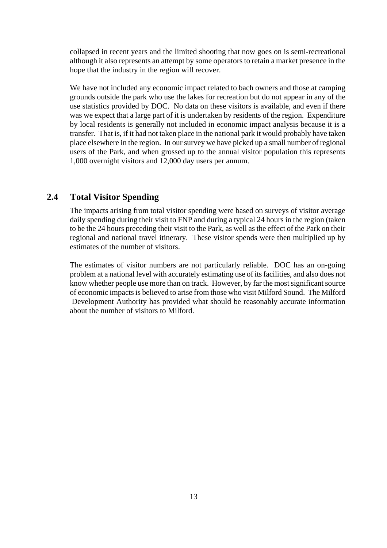collapsed in recent years and the limited shooting that now goes on is semi-recreational although it also represents an attempt by some operators to retain a market presence in the hope that the industry in the region will recover.

We have not included any economic impact related to bach owners and those at camping grounds outside the park who use the lakes for recreation but do not appear in any of the use statistics provided by DOC. No data on these visitors is available, and even if there was we expect that a large part of it is undertaken by residents of the region. Expenditure by local residents is generally not included in economic impact analysis because it is a transfer. That is, if it had not taken place in the national park it would probably have taken place elsewhere in the region. In our survey we have picked up a small number of regional users of the Park, and when grossed up to the annual visitor population this represents 1,000 overnight visitors and 12,000 day users per annum.

## **2.4 Total Visitor Spending**

The impacts arising from total visitor spending were based on surveys of visitor average daily spending during their visit to FNP and during a typical 24 hours in the region (taken to be the 24 hours preceding their visit to the Park, as well as the effect of the Park on their regional and national travel itinerary. These visitor spends were then multiplied up by estimates of the number of visitors.

The estimates of visitor numbers are not particularly reliable. DOC has an on-going problem at a national level with accurately estimating use of its facilities, and also does not know whether people use more than on track. However, by far the most significant source of economic impacts is believed to arise from those who visit Milford Sound. The Milford Development Authority has provided what should be reasonably accurate information about the number of visitors to Milford.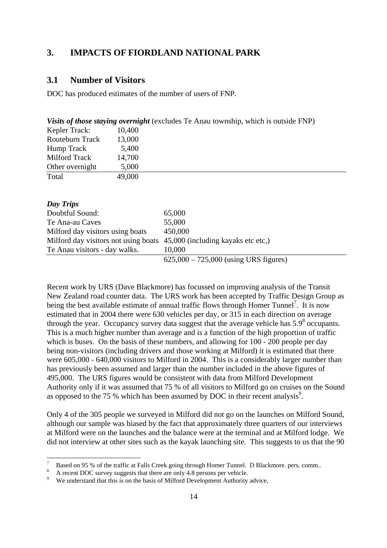## **3. IMPACTS OF FIORDLAND NATIONAL PARK**

## **3.1 Number of Visitors**

DOC has produced estimates of the number of users of FNP.

|                 | <i>Visits of those staying overnight</i> (excludes Te Anau township, which is outside FNP) |
|-----------------|--------------------------------------------------------------------------------------------|
| Kepler Track:   | 10,400                                                                                     |
| Routeburn Track | 13,000                                                                                     |
| Hump Track      | 5,400                                                                                      |
| Milford Track   | 14,700                                                                                     |
| Other overnight | 5,000                                                                                      |
| Total           | 49,000                                                                                     |
|                 |                                                                                            |

| Day Trips                                                               |                                         |
|-------------------------------------------------------------------------|-----------------------------------------|
| Doubtful Sound:                                                         | 65,000                                  |
| Te Ana-au Caves                                                         | 55,000                                  |
| Milford day visitors using boats                                        | 450,000                                 |
| Milford day visitors not using boats 45,000 (including kayaks etc etc.) |                                         |
| Te Anau visitors - day walks.                                           | 10,000                                  |
|                                                                         | $625,000 - 725,000$ (using URS figures) |

Recent work by URS (Dave Blackmore) has focussed on improving analysis of the Transit New Zealand road counter data. The URS work has been accepted by Traffic Design Group as being the best available estimate of annual traffic flows through Homer Tunnel<sup>7</sup>. It is now estimated that in 2004 there were 630 vehicles per day, or 315 in each direction on average through the year. Occupancy survey data suggest that the average vehicle has  $5.9^8$  occupants. This is a much higher number than average and is a function of the high proportion of traffic which is buses. On the basis of these numbers, and allowing for 100 - 200 people per day being non-visitors (including drivers and those working at Milford) it is estimated that there were  $605,000 - 640,000$  visitors to Milford in 2004. This is a considerably larger number than has previously been assumed and larger than the number included in the above figures of 495,000. The URS figures would be consistent with data from Milford Development Authority only if it was assumed that 75 % of all visitors to Milford go on cruises on the Sound as opposed to the 75 % which has been assumed by DOC in their recent analysis<sup>9</sup>.

Only 4 of the 305 people we surveyed in Milford did not go on the launches on Milford Sound, although our sample was biased by the fact that approximately three quarters of our interviews at Milford were on the launches and the balance were at the terminal and at Milford lodge. We did not interview at other sites such as the kayak launching site. This suggests to us that the 90

 $\overline{a}$ 

<sup>7</sup> Based on 95 % of the traffic at Falls Creek going through Homer Tunnel. D Blackmore. pers. comm.. 8

A recent DOC survey suggests that there are only 4.8 persons per vehicle.

<sup>9</sup> We understand that this is on the basis of Milford Development Authority advice,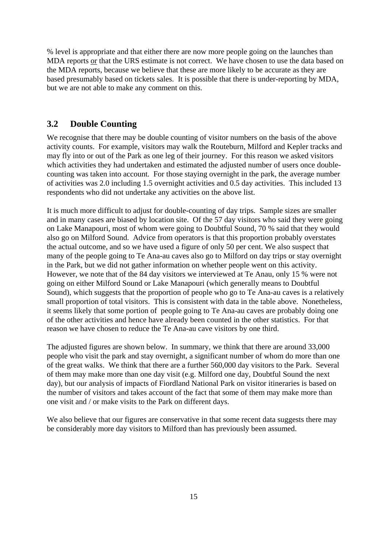% level is appropriate and that either there are now more people going on the launches than MDA reports or that the URS estimate is not correct. We have chosen to use the data based on the MDA reports, because we believe that these are more likely to be accurate as they are based presumably based on tickets sales. It is possible that there is under-reporting by MDA, but we are not able to make any comment on this.

## **3.2 Double Counting**

We recognise that there may be double counting of visitor numbers on the basis of the above activity counts. For example, visitors may walk the Routeburn, Milford and Kepler tracks and may fly into or out of the Park as one leg of their journey. For this reason we asked visitors which activities they had undertaken and estimated the adjusted number of users once doublecounting was taken into account. For those staying overnight in the park, the average number of activities was 2.0 including 1.5 overnight activities and 0.5 day activities. This included 13 respondents who did not undertake any activities on the above list.

It is much more difficult to adjust for double-counting of day trips. Sample sizes are smaller and in many cases are biased by location site. Of the 57 day visitors who said they were going on Lake Manapouri, most of whom were going to Doubtful Sound, 70 % said that they would also go on Milford Sound. Advice from operators is that this proportion probably overstates the actual outcome, and so we have used a figure of only 50 per cent. We also suspect that many of the people going to Te Ana-au caves also go to Milford on day trips or stay overnight in the Park, but we did not gather information on whether people went on this activity. However, we note that of the 84 day visitors we interviewed at Te Anau, only 15 % were not going on either Milford Sound or Lake Manapouri (which generally means to Doubtful Sound), which suggests that the proportion of people who go to Te Ana-au caves is a relatively small proportion of total visitors. This is consistent with data in the table above. Nonetheless, it seems likely that some portion of people going to Te Ana-au caves are probably doing one of the other activities and hence have already been counted in the other statistics. For that reason we have chosen to reduce the Te Ana-au cave visitors by one third.

The adjusted figures are shown below. In summary, we think that there are around 33,000 people who visit the park and stay overnight, a significant number of whom do more than one of the great walks. We think that there are a further 560,000 day visitors to the Park. Several of them may make more than one day visit (e.g. Milford one day, Doubtful Sound the next day), but our analysis of impacts of Fiordland National Park on visitor itineraries is based on the number of visitors and takes account of the fact that some of them may make more than one visit and / or make visits to the Park on different days.

We also believe that our figures are conservative in that some recent data suggests there may be considerably more day visitors to Milford than has previously been assumed.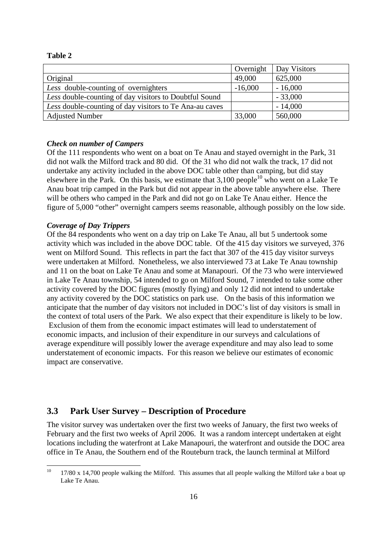| .,<br>× |  |
|---------|--|
|---------|--|

|                                                         | Overnight | Day Visitors |
|---------------------------------------------------------|-----------|--------------|
| Original                                                | 49,000    | 625,000      |
| Less double-counting of overnighters                    | $-16,000$ | $-16,000$    |
| Less double-counting of day visitors to Doubtful Sound  |           | $-33,000$    |
| Less double-counting of day visitors to Te Ana-au caves |           | $-14,000$    |
| <b>Adjusted Number</b>                                  | 33,000    | 560,000      |

#### *Check on number of Campers*

Of the 111 respondents who went on a boat on Te Anau and stayed overnight in the Park, 31 did not walk the Milford track and 80 did. Of the 31 who did not walk the track, 17 did not undertake any activity included in the above DOC table other than camping, but did stay elsewhere in the Park. On this basis, we estimate that  $3,100$  people<sup>10</sup> who went on a Lake Te Anau boat trip camped in the Park but did not appear in the above table anywhere else. There will be others who camped in the Park and did not go on Lake Te Anau either. Hence the figure of 5,000 "other" overnight campers seems reasonable, although possibly on the low side.

#### *Coverage of Day Trippers*

Of the 84 respondents who went on a day trip on Lake Te Anau, all but 5 undertook some activity which was included in the above DOC table. Of the 415 day visitors we surveyed, 376 went on Milford Sound. This reflects in part the fact that 307 of the 415 day visitor surveys were undertaken at Milford. Nonetheless, we also interviewed 73 at Lake Te Anau township and 11 on the boat on Lake Te Anau and some at Manapouri. Of the 73 who were interviewed in Lake Te Anau township, 54 intended to go on Milford Sound, 7 intended to take some other activity covered by the DOC figures (mostly flying) and only 12 did not intend to undertake any activity covered by the DOC statistics on park use. On the basis of this information we anticipate that the number of day visitors not included in DOC's list of day visitors is small in the context of total users of the Park. We also expect that their expenditure is likely to be low. Exclusion of them from the economic impact estimates will lead to understatement of economic impacts, and inclusion of their expenditure in our surveys and calculations of average expenditure will possibly lower the average expenditure and may also lead to some understatement of economic impacts. For this reason we believe our estimates of economic impact are conservative.

## **3.3 Park User Survey – Description of Procedure**

The visitor survey was undertaken over the first two weeks of January, the first two weeks of February and the first two weeks of April 2006. It was a random intercept undertaken at eight locations including the waterfront at Lake Manapouri, the waterfront and outside the DOC area office in Te Anau, the Southern end of the Routeburn track, the launch terminal at Milford

<sup>10</sup> 17/80 x 14,700 people walking the Milford. This assumes that all people walking the Milford take a boat up Lake Te Anau.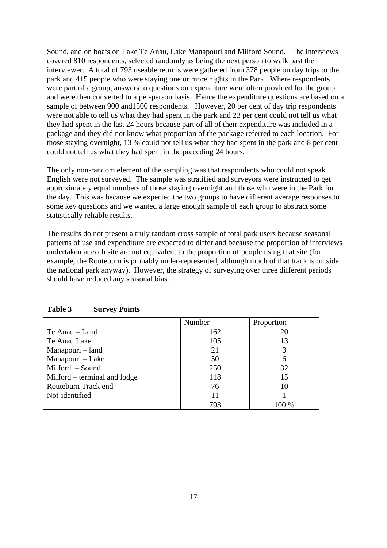Sound, and on boats on Lake Te Anau, Lake Manapouri and Milford Sound. The interviews covered 810 respondents, selected randomly as being the next person to walk past the interviewer. A total of 793 useable returns were gathered from 378 people on day trips to the park and 415 people who were staying one or more nights in the Park. Where respondents were part of a group, answers to questions on expenditure were often provided for the group and were then converted to a per-person basis. Hence the expenditure questions are based on a sample of between 900 and 1500 respondents. However, 20 per cent of day trip respondents were not able to tell us what they had spent in the park and 23 per cent could not tell us what they had spent in the last 24 hours because part of all of their expenditure was included in a package and they did not know what proportion of the package referred to each location. For those staying overnight, 13 % could not tell us what they had spent in the park and 8 per cent could not tell us what they had spent in the preceding 24 hours.

The only non-random element of the sampling was that respondents who could not speak English were not surveyed. The sample was stratified and surveyors were instructed to get approximately equal numbers of those staying overnight and those who were in the Park for the day. This was because we expected the two groups to have different average responses to some key questions and we wanted a large enough sample of each group to abstract some statistically reliable results.

The results do not present a truly random cross sample of total park users because seasonal patterns of use and expenditure are expected to differ and because the proportion of interviews undertaken at each site are not equivalent to the proportion of people using that site (for example, the Routeburn is probably under-represented, although much of that track is outside the national park anyway). However, the strategy of surveying over three different periods should have reduced any seasonal bias.

|                              | Number | Proportion |
|------------------------------|--------|------------|
| Te Anau – Land               | 162    | 20         |
| Te Anau Lake                 | 105    | 13         |
| Manapouri – land             | 21     |            |
| Manapouri - Lake             | 50     | 6          |
| Milford - Sound              | 250    | 32         |
| Milford – terminal and lodge | 118    | 15         |
| Routeburn Track end          | 76     | 10         |
| Not-identified               | 11     |            |
|                              | 793    | $100\%$    |

| Table 3 | <b>Survey Points</b> |
|---------|----------------------|
|---------|----------------------|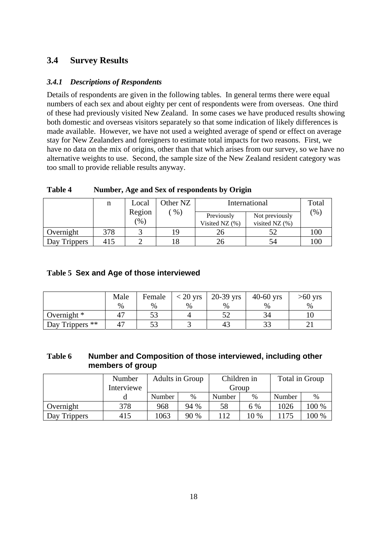## **3.4 Survey Results**

## *3.4.1 Descriptions of Respondents*

Details of respondents are given in the following tables. In general terms there were equal numbers of each sex and about eighty per cent of respondents were from overseas. One third of these had previously visited New Zealand. In some cases we have produced results showing both domestic and overseas visitors separately so that some indication of likely differences is made available. However, we have not used a weighted average of spend or effect on average stay for New Zealanders and foreigners to estimate total impacts for two reasons. First, we have no data on the mix of origins, other than that which arises from our survey, so we have no alternative weights to use. Second, the sample size of the New Zealand resident category was too small to provide reliable results anyway.

|              | n   | Other NZ<br>Local          |       |                              | International                      | Total  |
|--------------|-----|----------------------------|-------|------------------------------|------------------------------------|--------|
|              |     | Region<br>$\mathcal{O}(6)$ | $%$ ) | Previously<br>Visited NZ (%) | Not previously<br>visited NZ $(%)$ | $(\%)$ |
| Overnight    | 378 |                            | 19    | 26                           | 51                                 | 100    |
| Day Trippers | 415 |                            |       | 26                           | 54                                 | 100    |

**Table 4 Number, Age and Sex of respondents by Origin** 

## **Table 5 Sex and Age of those interviewed**

|                            | Male | Female            | $<$ 20 yrs | $20-39$ yrs | $40-60$ yrs | $>60$ yrs |
|----------------------------|------|-------------------|------------|-------------|-------------|-----------|
|                            | $\%$ | $\%$              | $\%$       | $\%$        | %           | $\%$      |
| Overnight $*$              |      |                   |            |             |             |           |
| Day Trippers <sup>**</sup> |      | $5^{\circ}$<br>ບປ |            |             | ں ر         |           |

| Table 6 | Number and Composition of those interviewed, including other |
|---------|--------------------------------------------------------------|
|         | members of group                                             |

|              | Number<br>Interviewe | Adults in Group |      | Children in<br>Group |      | Total in Group |               |
|--------------|----------------------|-----------------|------|----------------------|------|----------------|---------------|
|              |                      | Number          | %    | Number               | $\%$ | Number         | $\frac{0}{0}$ |
| Overnight    | 378                  | 968             | 94 % | 58                   | 6 %  | 1026           | $100\%$       |
| Day Trippers | 415                  | 1063            | 90 % | 112                  | 10 % |                | 00 %          |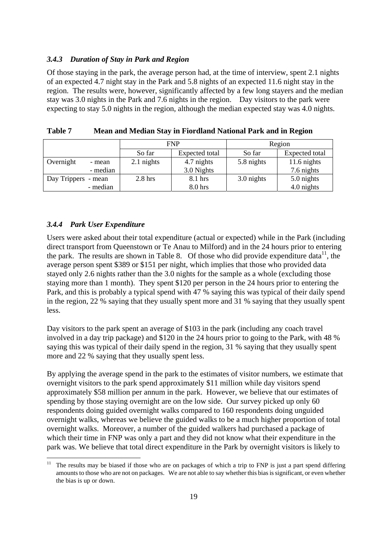#### *3.4.3 Duration of Stay in Park and Region*

Of those staying in the park, the average person had, at the time of interview, spent 2.1 nights of an expected 4.7 night stay in the Park and 5.8 nights of an expected 11.6 night stay in the region. The results were, however, significantly affected by a few long stayers and the median stay was 3.0 nights in the Park and 7.6 nights in the region. Day visitors to the park were expecting to stay 5.0 nights in the region, although the median expected stay was 4.0 nights.

|                     |          | <b>FNP</b> |                    | Region     |                |
|---------------------|----------|------------|--------------------|------------|----------------|
|                     |          | So far     | Expected total     | So far     | Expected total |
| Overnight           | - mean   | 2.1 nights | 4.7 nights         | 5.8 nights | 11.6 nights    |
|                     | - median |            | 3.0 Nights         |            | 7.6 nights     |
| Day Trippers - mean |          | $2.8$ hrs  | 8.1 hrs            | 3.0 nights | 5.0 nights     |
|                     | - median |            | 8.0 <sub>hrs</sub> |            | 4.0 nights     |

| <b>Table 7</b> | Mean and Median Stay in Fiordland National Park and in Region |
|----------------|---------------------------------------------------------------|
|                |                                                               |

#### *3.4.4 Park User Expenditure*

 $\overline{a}$ 

Users were asked about their total expenditure (actual or expected) while in the Park (including direct transport from Queenstown or Te Anau to Milford) and in the 24 hours prior to entering the park. The results are shown in Table 8. Of those who did provide expenditure data<sup>11</sup>, the average person spent \$389 or \$151 per night, which implies that those who provided data stayed only 2.6 nights rather than the 3.0 nights for the sample as a whole (excluding those staying more than 1 month). They spent \$120 per person in the 24 hours prior to entering the Park, and this is probably a typical spend with 47 % saying this was typical of their daily spend in the region, 22 % saying that they usually spent more and 31 % saying that they usually spent less.

Day visitors to the park spent an average of \$103 in the park (including any coach travel involved in a day trip package) and \$120 in the 24 hours prior to going to the Park, with 48 % saying this was typical of their daily spend in the region, 31 % saying that they usually spent more and 22 % saying that they usually spent less.

By applying the average spend in the park to the estimates of visitor numbers, we estimate that overnight visitors to the park spend approximately \$11 million while day visitors spend approximately \$58 million per annum in the park. However, we believe that our estimates of spending by those staying overnight are on the low side. Our survey picked up only 60 respondents doing guided overnight walks compared to 160 respondents doing unguided overnight walks, whereas we believe the guided walks to be a much higher proportion of total overnight walks. Moreover, a number of the guided walkers had purchased a package of which their time in FNP was only a part and they did not know what their expenditure in the park was. We believe that total direct expenditure in the Park by overnight visitors is likely to

The results may be biased if those who are on packages of which a trip to FNP is just a part spend differing amounts to those who are not on packages. We are not able to say whether this bias is significant, or even whether the bias is up or down.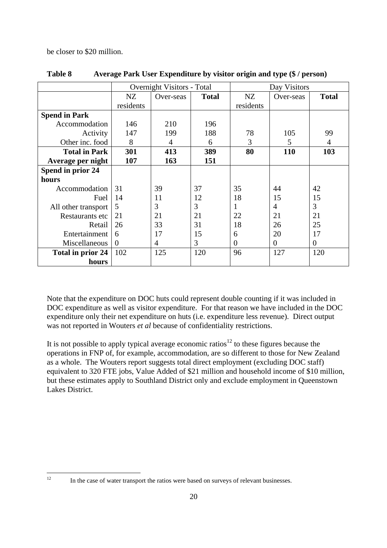be closer to \$20 million.

|                      |           | <b>Overnight Visitors - Total</b> |              |                | Day Visitors   |              |  |  |
|----------------------|-----------|-----------------------------------|--------------|----------------|----------------|--------------|--|--|
|                      | NZ        | Over-seas                         | <b>Total</b> | NZ             | Over-seas      | <b>Total</b> |  |  |
|                      | residents |                                   |              | residents      |                |              |  |  |
| <b>Spend in Park</b> |           |                                   |              |                |                |              |  |  |
| Accommodation        | 146       | 210                               | 196          |                |                |              |  |  |
| Activity             | 147       | 199                               | 188          | 78             | 105            | 99           |  |  |
| Other inc. food      | 8         | 4                                 | 6            | 3              | 5              | 4            |  |  |
| <b>Total in Park</b> | 301       | 413                               | 389          | 80             | 110            | 103          |  |  |
| Average per night    | 107       | 163                               | 151          |                |                |              |  |  |
| Spend in prior 24    |           |                                   |              |                |                |              |  |  |
| hours                |           |                                   |              |                |                |              |  |  |
| Accommodation        | 31        | 39                                | 37           | 35             | 44             | 42           |  |  |
| Fuel                 | 14        | 11                                | 12           | 18             | 15             | 15           |  |  |
| All other transport  | 5         | 3                                 | 3            |                | $\overline{4}$ | 3            |  |  |
| Restaurants etc      | 21        | 21                                | 21           | 22             | 21             | 21           |  |  |
| Retail               | 26        | 33                                | 31           | 18             | 26             | 25           |  |  |
| Entertainment        | 6         | 17                                | 15           | 6              | 20             | 17           |  |  |
| Miscellaneous        | $\theta$  | 4                                 | 3            | $\overline{0}$ | $\theta$       | $\theta$     |  |  |
| Total in prior 24    | 102       | 125                               | 120          | 96             | 127            | 120          |  |  |
| hours                |           |                                   |              |                |                |              |  |  |

### **Table 8 Average Park User Expenditure by visitor origin and type (\$ / person)**

Note that the expenditure on DOC huts could represent double counting if it was included in DOC expenditure as well as visitor expenditure. For that reason we have included in the DOC expenditure only their net expenditure on huts (i.e. expenditure less revenue). Direct output was not reported in Wouters *et al* because of confidentiality restrictions.

It is not possible to apply typical average economic ratios<sup>12</sup> to these figures because the operations in FNP of, for example, accommodation, are so different to those for New Zealand as a whole. The Wouters report suggests total direct employment (excluding DOC staff) equivalent to 320 FTE jobs, Value Added of \$21 million and household income of \$10 million, but these estimates apply to Southland District only and exclude employment in Queenstown Lakes District.

In the case of water transport the ratios were based on surveys of relevant businesses.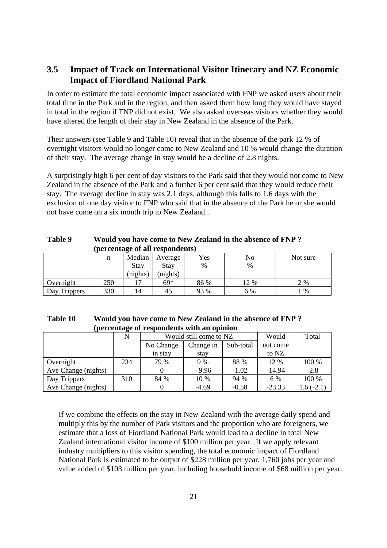## **3.5 Impact of Track on International Visitor Itinerary and NZ Economic Impact of Fiordland National Park**

In order to estimate the total economic impact associated with FNP we asked users about their total time in the Park and in the region, and then asked them how long they would have stayed in total in the region if FNP did not exist. We also asked overseas visitors whether they would have altered the length of their stay in New Zealand in the absence of the Park.

Their answers (see Table 9 and Table 10) reveal that in the absence of the park 12 % of overnight visitors would no longer come to New Zealand and 10 % would change the duration of their stay. The average change in stay would be a decline of 2.8 nights.

A surprisingly high 6 per cent of day visitors to the Park said that they would not come to New Zealand in the absence of the Park and a further 6 per cent said that they would reduce their stay. The average decline in stay was 2.1 days, although this falls to 1.6 days with the exclusion of one day visitor to FNP who said that in the absence of the Park he or she would not have come on a six month trip to New Zealand...

|              |     |          | per centure or an respondence |      |      |          |
|--------------|-----|----------|-------------------------------|------|------|----------|
|              | n   | Median   | Average                       | Yes  | No   | Not sure |
|              |     | Stay     | Stay                          | %    | %    |          |
|              |     | (nights) | (nights)                      |      |      |          |
| Overnight    | 250 | . .      | 69*                           | 86 % | 12 % | 2 %      |
| Day Trippers | 330 | 14       | 45                            | 93 % | 6 %  | $\%$     |

**Table 9 Would you have come to New Zealand in the absence of FNP ? (percentage of all respondents)** 

| Table 10 | Would you have come to New Zealand in the absence of FNP? |
|----------|-----------------------------------------------------------|
|          | (percentage of respondents with an opinion                |

|                     | N   | Would still come to NZ |           |           | Would    | Total       |
|---------------------|-----|------------------------|-----------|-----------|----------|-------------|
|                     |     | No Change              | Change in | Sub-total | not come |             |
|                     |     | in stay                | stay      |           | to NZ    |             |
| Overnight           | 234 | 79 %                   | 9%        | 88 %      | 12 %     | 100 %       |
| Ave Change (nights) |     |                        | $-9.96$   | $-1.02$   | $-14.94$ | $-2.8$      |
| Day Trippers        | 310 | 84 %                   | 10 %      | 94 %      | 6 %      | 100 %       |
| Ave Change (nights) |     |                        | $-4.69$   | $-0.58$   | $-23.33$ | $1.6(-2.1)$ |

If we combine the effects on the stay in New Zealand with the average daily spend and multiply this by the number of Park visitors and the proportion who are foreigners, we estimate that a loss of Fiordland National Park would lead to a decline in total New Zealand international visitor income of \$100 million per year. If we apply relevant industry multipliers to this visitor spending, the total economic impact of Fiordland National Park is estimated to be output of \$228 million per year, 1,760 jobs per year and value added of \$103 million per year, including household income of \$68 million per year.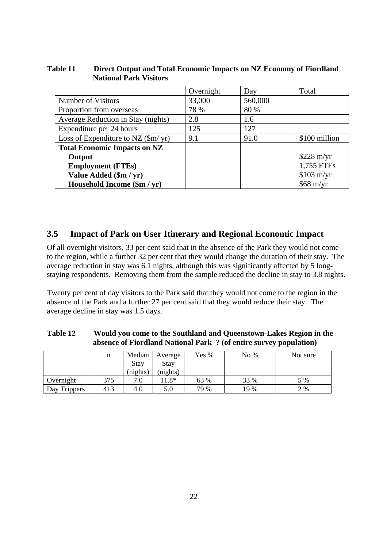|                                                   | Overnight | Day     | Total               |
|---------------------------------------------------|-----------|---------|---------------------|
| Number of Visitors                                | 33,000    | 560,000 |                     |
| Proportion from overseas                          | 78 %      | 80 %    |                     |
| Average Reduction in Stay (nights)                | 2.8       | 1.6     |                     |
| Expenditure per 24 hours                          | 125       | 127     |                     |
| Loss of Expenditure to NZ $(\text{Sm}/\text{yr})$ | 9.1       | 91.0    | \$100 million       |
| <b>Total Economic Impacts on NZ</b>               |           |         |                     |
| Output                                            |           |         | $$228 \text{ m/yr}$ |
| <b>Employment (FTEs)</b>                          |           |         | 1,755 FTEs          |
| Value Added (\$m / yr)                            |           |         | \$103 m/yr          |
| Household Income (\$m / yr)                       |           |         | $$68$ m/yr          |

## **Table 11 Direct Output and Total Economic Impacts on NZ Economy of Fiordland National Park Visitors**

## **3.5 Impact of Park on User Itinerary and Regional Economic Impact**

Of all overnight visitors, 33 per cent said that in the absence of the Park they would not come to the region, while a further 32 per cent that they would change the duration of their stay. The average reduction in stay was 6.1 nights, although this was significantly affected by 5 longstaying respondents. Removing them from the sample reduced the decline in stay to 3.8 nights.

Twenty per cent of day visitors to the Park said that they would not come to the region in the absence of the Park and a further 27 per cent said that they would reduce their stay. The average decline in stay was 1.5 days.

| Table 12 | Would you come to the Southland and Queenstown-Lakes Region in the |
|----------|--------------------------------------------------------------------|
|          | absence of Fiordland National Park ? (of entire survey population) |

|              | n   | Median<br><b>Stay</b><br>(nights) | Average<br><b>Stay</b><br>(nights) | Yes % | No $%$ | Not sure |
|--------------|-----|-----------------------------------|------------------------------------|-------|--------|----------|
| Overnight    | 375 | 7.0                               | $1.8*$                             | 63 %  | 33 %   | 5 %      |
| Day Trippers | 413 | 4.0                               | 5.0                                | 79 %  | 19 %   | 2 %      |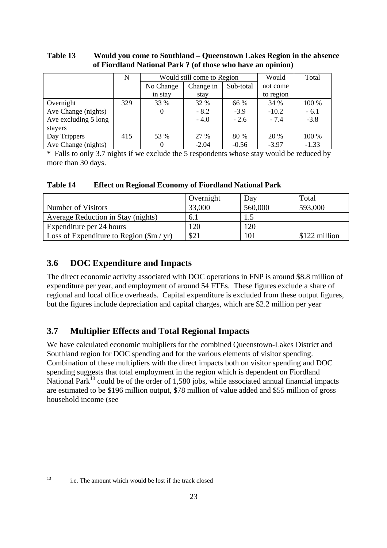| Table 13 | Would you come to Southland – Queenstown Lakes Region in the absence |
|----------|----------------------------------------------------------------------|
|          | of Fiordland National Park? (of those who have an opinion)           |

|                      | N   | Would still come to Region |           |           | Would     | Total   |
|----------------------|-----|----------------------------|-----------|-----------|-----------|---------|
|                      |     | No Change                  | Change in | Sub-total | not come  |         |
|                      |     | in stay                    | stay      |           | to region |         |
| Overnight            | 329 | 33 %                       | 32 %      | 66 %      | 34 %      | 100 %   |
| Ave Change (nights)  |     | $\overline{0}$             | $-8.2$    | $-3.9$    | $-10.2$   | $-6.1$  |
| Ave excluding 5 long |     |                            | $-4.0$    | $-2.6$    | $-7.4$    | $-3.8$  |
| stayers              |     |                            |           |           |           |         |
| Day Trippers         | 415 | 53 %                       | 27 %      | 80 %      | 20 %      | 100 %   |
| Ave Change (nights)  |     | $\theta$                   | $-2.04$   | $-0.56$   | $-3.97$   | $-1.33$ |

\* Falls to only 3.7 nights if we exclude the 5 respondents whose stay would be reduced by more than 30 days.

**Table 14 Effect on Regional Economy of Fiordland National Park** 

|                                                | Overnight | Dav     | Total         |
|------------------------------------------------|-----------|---------|---------------|
| Number of Visitors                             | 33,000    | 560,000 | 593,000       |
| Average Reduction in Stay (nights)             | 6.1       | 1.5     |               |
| Expenditure per 24 hours                       | 120       | 120     |               |
| Loss of Expenditure to Region $(\frac{m}{yr})$ | \$21      | 101     | \$122 million |

## **3.6 DOC Expenditure and Impacts**

The direct economic activity associated with DOC operations in FNP is around \$8.8 million of expenditure per year, and employment of around 54 FTEs. These figures exclude a share of regional and local office overheads. Capital expenditure is excluded from these output figures, but the figures include depreciation and capital charges, which are \$2.2 million per year

## **3.7 Multiplier Effects and Total Regional Impacts**

We have calculated economic multipliers for the combined Queenstown-Lakes District and Southland region for DOC spending and for the various elements of visitor spending. Combination of these multipliers with the direct impacts both on visitor spending and DOC spending suggests that total employment in the region which is dependent on Fiordland National Park<sup> $13$ </sup> could be of the order of 1.580 jobs, while associated annual financial impacts are estimated to be \$196 million output, \$78 million of value added and \$55 million of gross household income (see

 $13$ 

i.e. The amount which would be lost if the track closed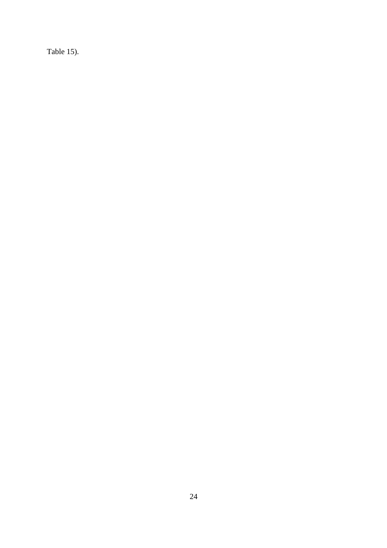Table 15).